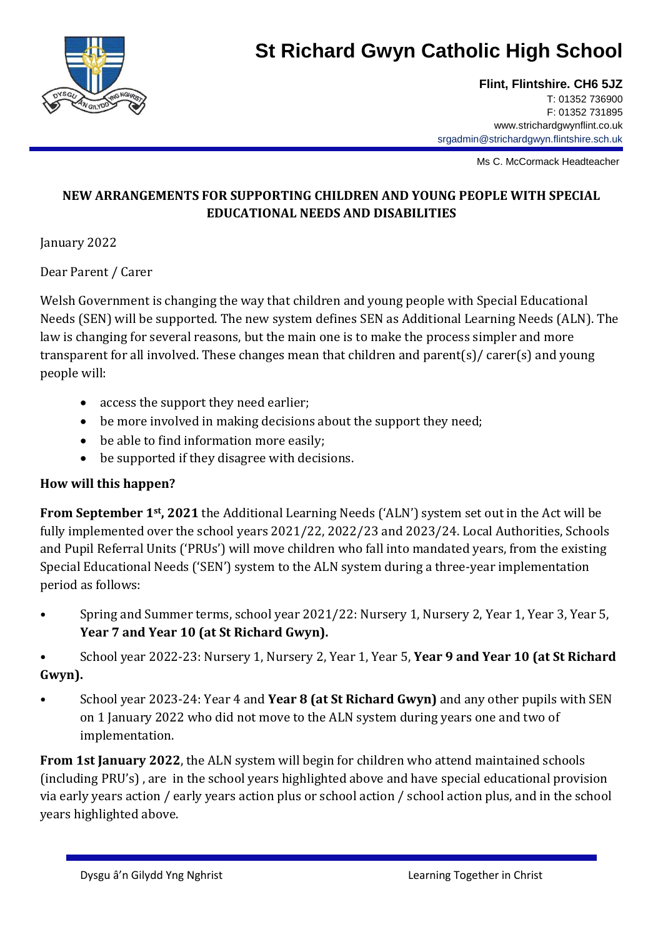

# **St Richard Gwyn Catholic High School**

**Flint, Flintshire. CH6 5JZ** T: 01352 736900 F: 01352 731895 www.strichardgwynflint.co.uk srgadmin@strichardgwyn.flintshire.sch.uk

Ms C. McCormack Headteacher

### **NEW ARRANGEMENTS FOR SUPPORTING CHILDREN AND YOUNG PEOPLE WITH SPECIAL EDUCATIONAL NEEDS AND DISABILITIES**

January 2022

Dear Parent / Carer

Welsh Government is changing the way that children and young people with Special Educational Needs (SEN) will be supported. The new system defines SEN as Additional Learning Needs (ALN). The law is changing for several reasons, but the main one is to make the process simpler and more transparent for all involved. These changes mean that children and parent(s)/ carer(s) and young people will:

- access the support they need earlier;
- be more involved in making decisions about the support they need;
- be able to find information more easily;
- be supported if they disagree with decisions.

### **How will this happen?**

**From September 1st, 2021** the Additional Learning Needs ('ALN') system set out in the Act will be fully implemented over the school years 2021/22, 2022/23 and 2023/24. Local Authorities, Schools and Pupil Referral Units ('PRUs') will move children who fall into mandated years, from the existing Special Educational Needs ('SEN') system to the ALN system during a three-year implementation period as follows:

• Spring and Summer terms, school year 2021/22: Nursery 1, Nursery 2, Year 1, Year 3, Year 5, **Year 7 and Year 10 (at St Richard Gwyn).**

• School year 2022-23: Nursery 1, Nursery 2, Year 1, Year 5, **Year 9 and Year 10 (at St Richard Gwyn).**

• School year 2023-24: Year 4 and **Year 8 (at St Richard Gwyn)** and any other pupils with SEN on 1 January 2022 who did not move to the ALN system during years one and two of implementation.

**From 1st January 2022**, the ALN system will begin for children who attend maintained schools (including PRU's) , are in the school years highlighted above and have special educational provision via early years action / early years action plus or school action / school action plus, and in the school years highlighted above.